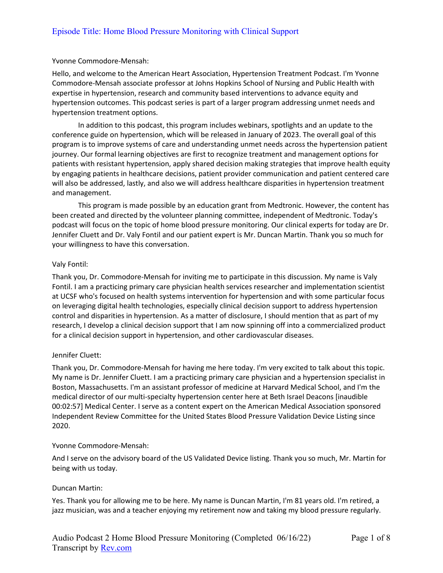#### Yvonne Commodore-Mensah:

Hello, and welcome to the American Heart Association, Hypertension Treatment Podcast. I'm Yvonne Commodore-Mensah associate professor at Johns Hopkins School of Nursing and Public Health with expertise in hypertension, research and community based interventions to advance equity and hypertension outcomes. This podcast series is part of a larger program addressing unmet needs and hypertension treatment options.

In addition to this podcast, this program includes webinars, spotlights and an update to the conference guide on hypertension, which will be released in January of 2023. The overall goal of this program is to improve systems of care and understanding unmet needs across the hypertension patient journey. Our formal learning objectives are first to recognize treatment and management options for patients with resistant hypertension, apply shared decision making strategies that improve health equity by engaging patients in healthcare decisions, patient provider communication and patient centered care will also be addressed, lastly, and also we will address healthcare disparities in hypertension treatment and management.

This program is made possible by an education grant from Medtronic. However, the content has been created and directed by the volunteer planning committee, independent of Medtronic. Today's podcast will focus on the topic of home blood pressure monitoring. Our clinical experts for today are Dr. Jennifer Cluett and Dr. Valy Fontil and our patient expert is Mr. Duncan Martin. Thank you so much for your willingness to have this conversation.

## Valy Fontil:

Thank you, Dr. Commodore-Mensah for inviting me to participate in this discussion. My name is Valy Fontil. I am a practicing primary care physician health services researcher and implementation scientist at UCSF who's focused on health systems intervention for hypertension and with some particular focus on leveraging digital health technologies, especially clinical decision support to address hypertension control and disparities in hypertension. As a matter of disclosure, I should mention that as part of my research, I develop a clinical decision support that I am now spinning off into a commercialized product for a clinical decision support in hypertension, and other cardiovascular diseases.

## Jennifer Cluett:

Thank you, Dr. Commodore-Mensah for having me here today. I'm very excited to talk about this topic. My name is Dr. Jennifer Cluett. I am a practicing primary care physician and a hypertension specialist in Boston, Massachusetts. I'm an assistant professor of medicine at Harvard Medical School, and I'm the medical director of our multi-specialty hypertension center here at Beth Israel Deacons [inaudible 00:02:57] Medical Center. I serve as a content expert on the American Medical Association sponsored Independent Review Committee for the United States Blood Pressure Validation Device Listing since 2020.

## Yvonne Commodore-Mensah:

And I serve on the advisory board of the US Validated Device listing. Thank you so much, Mr. Martin for being with us today.

## Duncan Martin:

Yes. Thank you for allowing me to be here. My name is Duncan Martin, I'm 81 years old. I'm retired, a jazz musician, was and a teacher enjoying my retirement now and taking my blood pressure regularly.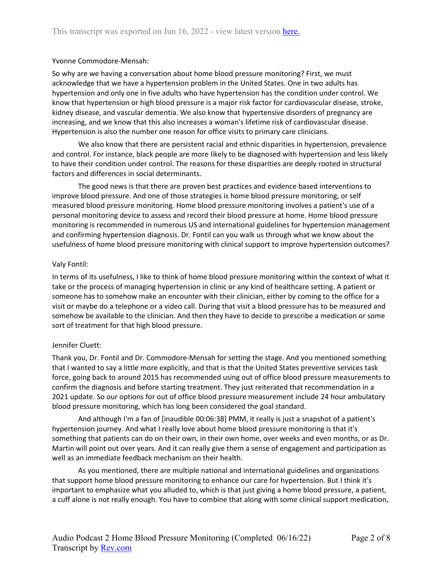## Yvonne Commodore-Mensah:

So why are we having a conversation about home blood pressure monitoring? First, we must acknowledge that we have a hypertension problem in the United States. One in two adults has hypertension and only one in five adults who have hypertension has the condition under control. We know that hypertension or high blood pressure is a major risk factor for cardiovascular disease, stroke, kidney disease, and vascular dementia. We also know that hypertensive disorders of pregnancy are increasing, and we know that this also increases a woman's lifetime risk of cardiovascular disease. Hypertension is also the number one reason for office visits to primary care clinicians.

We also know that there are persistent racial and ethnic disparities in hypertension, prevalence and control. For instance, black people are more likely to be diagnosed with hypertension and less likely to have their condition under control. The reasons for these disparities are deeply rooted in structural factors and differences in social determinants.

The good news is that there are proven best practices and evidence based interventions to improve blood pressure. And one of those strategies is home blood pressure monitoring, or self measured blood pressure monitoring. Home blood pressure monitoring involves a patient's use of a personal monitoring device to assess and record their blood pressure at home. Home blood pressure monitoring is recommended in numerous US and international guidelines for hypertension management and confirming hypertension diagnosis. Dr. Fontil can you walk us through what we know about the usefulness of home blood pressure monitoring with clinical support to improve hypertension outcomes?

## Valy Fontil:

In terms of its usefulness, I like to think of home blood pressure monitoring within the context of what it take or the process of managing hypertension in clinic or any kind of healthcare setting. A patient or someone has to somehow make an encounter with their clinician, either by coming to the office for a visit or maybe do a telephone or a video call. During that visit a blood pressure has to be measured and somehow be available to the clinician. And then they have to decide to prescribe a medication or some sort of treatment for that high blood pressure.

## Jennifer Cluett:

Thank you, Dr. Fontil and Dr. Commodore-Mensah for setting the stage. And you mentioned something that I wanted to say a little more explicitly, and that is that the United States preventive services task force, going back to around 2015 has recommended using out of office blood pressure measurements to confirm the diagnosis and before starting treatment. They just reiterated that recommendation in a 2021 update. So our options for out of office blood pressure measurement include 24 hour ambulatory blood pressure monitoring, which has long been considered the goal standard.

And although I'm a fan of [inaudible 00:06:38] PMM, it really is just a snapshot of a patient's hypertension journey. And what I really love about home blood pressure monitoring is that it's something that patients can do on their own, in their own home, over weeks and even months, or as Dr. Martin will point out over years. And it can really give them a sense of engagement and participation as well as an immediate feedback mechanism on their health.

As you mentioned, there are multiple national and international guidelines and organizations that support home blood pressure monitoring to enhance our care for hypertension. But I think it's important to emphasize what you alluded to, which is that just giving a home blood pressure, a patient, a cuff alone is not really enough. You have to combine that along with some clinical support medication,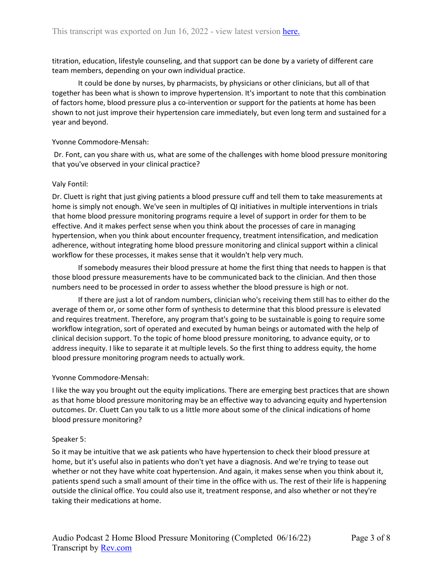titration, education, lifestyle counseling, and that support can be done by a variety of different care team members, depending on your own individual practice.

It could be done by nurses, by pharmacists, by physicians or other clinicians, but all of that together has been what is shown to improve hypertension. It's important to note that this combination of factors home, blood pressure plus a co-intervention or support for the patients at home has been shown to not just improve their hypertension care immediately, but even long term and sustained for a year and beyond.

## Yvonne Commodore-Mensah:

Dr. Font, can you share with us, what are some of the challenges with home blood pressure monitoring that you've observed in your clinical practice?

## Valy Fontil:

Dr. Cluett is right that just giving patients a blood pressure cuff and tell them to take measurements at home is simply not enough. We've seen in multiples of QI initiatives in multiple interventions in trials that home blood pressure monitoring programs require a level of support in order for them to be effective. And it makes perfect sense when you think about the processes of care in managing hypertension, when you think about encounter frequency, treatment intensification, and medication adherence, without integrating home blood pressure monitoring and clinical support within a clinical workflow for these processes, it makes sense that it wouldn't help very much.

If somebody measures their blood pressure at home the first thing that needs to happen is that those blood pressure measurements have to be communicated back to the clinician. And then those numbers need to be processed in order to assess whether the blood pressure is high or not.

If there are just a lot of random numbers, clinician who's receiving them still has to either do the average of them or, or some other form of synthesis to determine that this blood pressure is elevated and requires treatment. Therefore, any program that's going to be sustainable is going to require some workflow integration, sort of operated and executed by human beings or automated with the help of clinical decision support. To the topic of home blood pressure monitoring, to advance equity, or to address inequity. I like to separate it at multiple levels. So the first thing to address equity, the home blood pressure monitoring program needs to actually work.

# Yvonne Commodore-Mensah:

I like the way you brought out the equity implications. There are emerging best practices that are shown as that home blood pressure monitoring may be an effective way to advancing equity and hypertension outcomes. Dr. Cluett Can you talk to us a little more about some of the clinical indications of home blood pressure monitoring?

# Speaker 5:

So it may be intuitive that we ask patients who have hypertension to check their blood pressure at home, but it's useful also in patients who don't yet have a diagnosis. And we're trying to tease out whether or not they have white coat hypertension. And again, it makes sense when you think about it, patients spend such a small amount of their time in the office with us. The rest of their life is happening outside the clinical office. You could also use it, treatment response, and also whether or not they're taking their medications at home.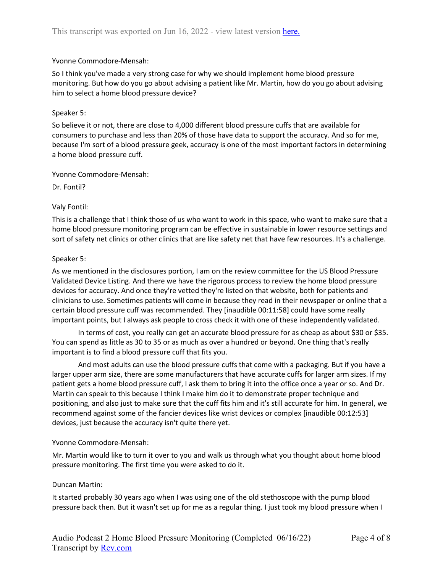## Yvonne Commodore-Mensah:

So I think you've made a very strong case for why we should implement home blood pressure monitoring. But how do you go about advising a patient like Mr. Martin, how do you go about advising him to select a home blood pressure device?

## Speaker 5:

So believe it or not, there are close to 4,000 different blood pressure cuffs that are available for consumers to purchase and less than 20% of those have data to support the accuracy. And so for me, because I'm sort of a blood pressure geek, accuracy is one of the most important factors in determining a home blood pressure cuff.

## Yvonne Commodore-Mensah:

Dr. Fontil?

# Valy Fontil:

This is a challenge that I think those of us who want to work in this space, who want to make sure that a home blood pressure monitoring program can be effective in sustainable in lower resource settings and sort of safety net clinics or other clinics that are like safety net that have few resources. It's a challenge.

## Speaker 5:

As we mentioned in the disclosures portion, I am on the review committee for the US Blood Pressure Validated Device Listing. And there we have the rigorous process to review the home blood pressure devices for accuracy. And once they're vetted they're listed on that website, both for patients and clinicians to use. Sometimes patients will come in because they read in their newspaper or online that a certain blood pressure cuff was recommended. They [inaudible 00:11:58] could have some really important points, but I always ask people to cross check it with one of these independently validated.

In terms of cost, you really can get an accurate blood pressure for as cheap as about \$30 or \$35. You can spend as little as 30 to 35 or as much as over a hundred or beyond. One thing that's really important is to find a blood pressure cuff that fits you.

And most adults can use the blood pressure cuffs that come with a packaging. But if you have a larger upper arm size, there are some manufacturers that have accurate cuffs for larger arm sizes. If my patient gets a home blood pressure cuff, I ask them to bring it into the office once a year or so. And Dr. Martin can speak to this because I think I make him do it to demonstrate proper technique and positioning, and also just to make sure that the cuff fits him and it's still accurate for him. In general, we recommend against some of the fancier devices like wrist devices or complex [inaudible 00:12:53] devices, just because the accuracy isn't quite there yet.

## Yvonne Commodore-Mensah:

Mr. Martin would like to turn it over to you and walk us through what you thought about home blood pressure monitoring. The first time you were asked to do it.

# Duncan Martin:

It started probably 30 years ago when I was using one of the old stethoscope with the pump blood pressure back then. But it wasn't set up for me as a regular thing. I just took my blood pressure when I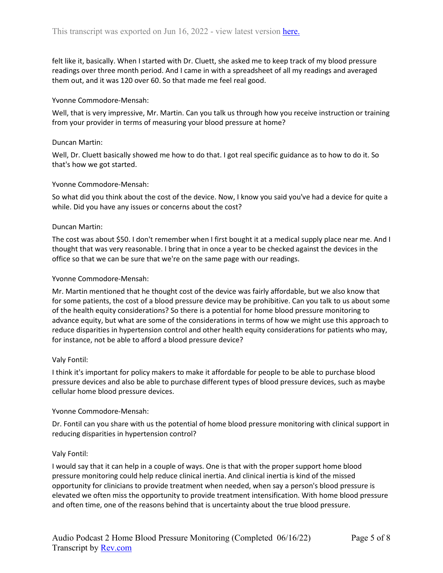felt like it, basically. When I started with Dr. Cluett, she asked me to keep track of my blood pressure readings over three month period. And I came in with a spreadsheet of all my readings and averaged them out, and it was 120 over 60. So that made me feel real good.

#### Yvonne Commodore-Mensah:

Well, that is very impressive, Mr. Martin. Can you talk us through how you receive instruction or training from your provider in terms of measuring your blood pressure at home?

#### Duncan Martin:

Well, Dr. Cluett basically showed me how to do that. I got real specific guidance as to how to do it. So that's how we got started.

#### Yvonne Commodore-Mensah:

So what did you think about the cost of the device. Now, I know you said you've had a device for quite a while. Did you have any issues or concerns about the cost?

#### Duncan Martin:

The cost was about \$50. I don't remember when I first bought it at a medical supply place near me. And I thought that was very reasonable. I bring that in once a year to be checked against the devices in the office so that we can be sure that we're on the same page with our readings.

#### Yvonne Commodore-Mensah:

Mr. Martin mentioned that he thought cost of the device was fairly affordable, but we also know that for some patients, the cost of a blood pressure device may be prohibitive. Can you talk to us about some of the health equity considerations? So there is a potential for home blood pressure monitoring to advance equity, but what are some of the considerations in terms of how we might use this approach to reduce disparities in hypertension control and other health equity considerations for patients who may, for instance, not be able to afford a blood pressure device?

#### Valy Fontil:

I think it's important for policy makers to make it affordable for people to be able to purchase blood pressure devices and also be able to purchase different types of blood pressure devices, such as maybe cellular home blood pressure devices.

## Yvonne Commodore-Mensah:

Dr. Fontil can you share with us the potential of home blood pressure monitoring with clinical support in reducing disparities in hypertension control?

## Valy Fontil:

I would say that it can help in a couple of ways. One is that with the proper support home blood pressure monitoring could help reduce clinical inertia. And clinical inertia is kind of the missed opportunity for clinicians to provide treatment when needed, when say a person's blood pressure is elevated we often miss the opportunity to provide treatment intensification. With home blood pressure and often time, one of the reasons behind that is uncertainty about the true blood pressure.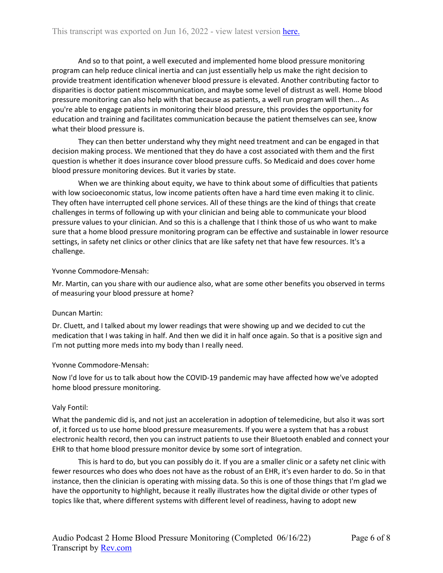And so to that point, a well executed and implemented home blood pressure monitoring program can help reduce clinical inertia and can just essentially help us make the right decision to provide treatment identification whenever blood pressure is elevated. Another contributing factor to disparities is doctor patient miscommunication, and maybe some level of distrust as well. Home blood pressure monitoring can also help with that because as patients, a well run program will then... As you're able to engage patients in monitoring their blood pressure, this provides the opportunity for education and training and facilitates communication because the patient themselves can see, know what their blood pressure is.

They can then better understand why they might need treatment and can be engaged in that decision making process. We mentioned that they do have a cost associated with them and the first question is whether it does insurance cover blood pressure cuffs. So Medicaid and does cover home blood pressure monitoring devices. But it varies by state.

When we are thinking about equity, we have to think about some of difficulties that patients with low socioeconomic status, low income patients often have a hard time even making it to clinic. They often have interrupted cell phone services. All of these things are the kind of things that create challenges in terms of following up with your clinician and being able to communicate your blood pressure values to your clinician. And so this is a challenge that I think those of us who want to make sure that a home blood pressure monitoring program can be effective and sustainable in lower resource settings, in safety net clinics or other clinics that are like safety net that have few resources. It's a challenge.

## Yvonne Commodore-Mensah:

Mr. Martin, can you share with our audience also, what are some other benefits you observed in terms of measuring your blood pressure at home?

## Duncan Martin:

Dr. Cluett, and I talked about my lower readings that were showing up and we decided to cut the medication that I was taking in half. And then we did it in half once again. So that is a positive sign and I'm not putting more meds into my body than I really need.

## Yvonne Commodore-Mensah:

Now I'd love for us to talk about how the COVID-19 pandemic may have affected how we've adopted home blood pressure monitoring.

## Valy Fontil:

What the pandemic did is, and not just an acceleration in adoption of telemedicine, but also it was sort of, it forced us to use home blood pressure measurements. If you were a system that has a robust electronic health record, then you can instruct patients to use their Bluetooth enabled and connect your EHR to that home blood pressure monitor device by some sort of integration.

This is hard to do, but you can possibly do it. If you are a smaller clinic or a safety net clinic with fewer resources who does who does not have as the robust of an EHR, it's even harder to do. So in that instance, then the clinician is operating with missing data. So this is one of those things that I'm glad we have the opportunity to highlight, because it really illustrates how the digital divide or other types of topics like that, where different systems with different level of readiness, having to adopt new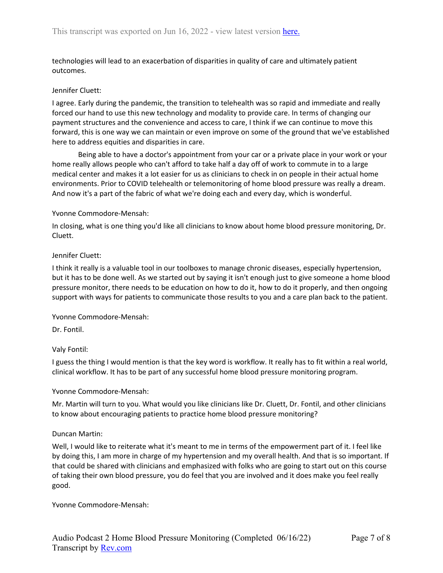technologies will lead to an exacerbation of disparities in quality of care and ultimately patient outcomes.

## Jennifer Cluett:

I agree. Early during the pandemic, the transition to telehealth was so rapid and immediate and really forced our hand to use this new technology and modality to provide care. In terms of changing our payment structures and the convenience and access to care, I think if we can continue to move this forward, this is one way we can maintain or even improve on some of the ground that we've established here to address equities and disparities in care.

Being able to have a doctor's appointment from your car or a private place in your work or your home really allows people who can't afford to take half a day off of work to commute in to a large medical center and makes it a lot easier for us as clinicians to check in on people in their actual home environments. Prior to COVID telehealth or telemonitoring of home blood pressure was really a dream. And now it's a part of the fabric of what we're doing each and every day, which is wonderful.

## Yvonne Commodore-Mensah:

In closing, what is one thing you'd like all clinicians to know about home blood pressure monitoring, Dr. Cluett.

## Jennifer Cluett:

I think it really is a valuable tool in our toolboxes to manage chronic diseases, especially hypertension, but it has to be done well. As we started out by saying it isn't enough just to give someone a home blood pressure monitor, there needs to be education on how to do it, how to do it properly, and then ongoing support with ways for patients to communicate those results to you and a care plan back to the patient.

## Yvonne Commodore-Mensah:

Dr. Fontil.

# Valy Fontil:

I guess the thing I would mention is that the key word is workflow. It really has to fit within a real world, clinical workflow. It has to be part of any successful home blood pressure monitoring program.

## Yvonne Commodore-Mensah:

Mr. Martin will turn to you. What would you like clinicians like Dr. Cluett, Dr. Fontil, and other clinicians to know about encouraging patients to practice home blood pressure monitoring?

# Duncan Martin:

Well, I would like to reiterate what it's meant to me in terms of the empowerment part of it. I feel like by doing this, I am more in charge of my hypertension and my overall health. And that is so important. If that could be shared with clinicians and emphasized with folks who are going to start out on this course of taking their own blood pressure, you do feel that you are involved and it does make you feel really good.

## Yvonne Commodore-Mensah: